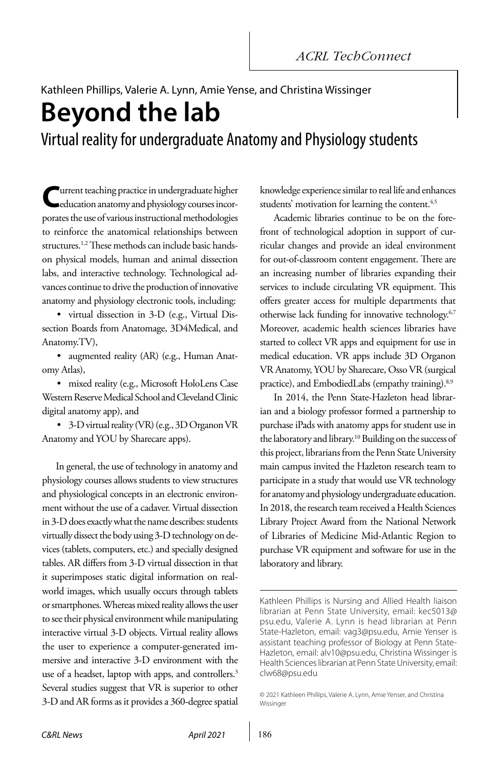# Kathleen Phillips, Valerie A. Lynn, Amie Yense, and Christina Wissinger

**Beyond the lab**

Virtual reality for undergraduate Anatomy and Physiology students

**Lurrent teaching practice in undergraduate higher** education anatomy and physiology courses incorporates the use of various instructional methodologies to reinforce the anatomical relationships between structures.<sup>1,2</sup> These methods can include basic handson physical models, human and animal dissection labs, and interactive technology. Technological advances continue to drive the production of innovative anatomy and physiology electronic tools, including:

• virtual dissection in 3-D (e.g., Virtual Dissection Boards from Anatomage, 3D4Medical, and Anatomy.TV),

• augmented reality (AR) (e.g., Human Anatomy Atlas),

• mixed reality (e.g., Microsoft HoloLens Case Western Reserve Medical School and Cleveland Clinic digital anatomy app), and

• 3-D virtual reality (VR) (e.g., 3D Organon VR Anatomy and YOU by Sharecare apps).

In general, the use of technology in anatomy and physiology courses allows students to view structures and physiological concepts in an electronic environment without the use of a cadaver. Virtual dissection in 3-D does exactly what the name describes: students virtually dissect the body using 3-D technology on devices (tablets, computers, etc.) and specially designed tables. AR differs from 3-D virtual dissection in that it superimposes static digital information on realworld images, which usually occurs through tablets or smartphones. Whereas mixed reality allows the user to see their physical environment while manipulating interactive virtual 3-D objects. Virtual reality allows the user to experience a computer-generated immersive and interactive 3-D environment with the use of a headset, laptop with apps, and controllers.<sup>3</sup> Several studies suggest that VR is superior to other 3-D and AR forms as it provides a 360-degree spatial knowledge experience similar to real life and enhances students' motivation for learning the content.<sup>4,5</sup>

Academic libraries continue to be on the forefront of technological adoption in support of curricular changes and provide an ideal environment for out-of-classroom content engagement. There are an increasing number of libraries expanding their services to include circulating VR equipment. This offers greater access for multiple departments that otherwise lack funding for innovative technology.<sup>6,7</sup> Moreover, academic health sciences libraries have started to collect VR apps and equipment for use in medical education. VR apps include 3D Organon VR Anatomy, YOU by Sharecare, Osso VR (surgical practice), and EmbodiedLabs (empathy training).<sup>8,9</sup>

In 2014, the Penn State-Hazleton head librarian and a biology professor formed a partnership to purchase iPads with anatomy apps for student use in the laboratory and library.<sup>10</sup> Building on the success of this project, librarians from the Penn State University main campus invited the Hazleton research team to participate in a study that would use VR technology for anatomy and physiology undergraduate education. In 2018, the research team received a Health Sciences Library Project Award from the National Network of Libraries of Medicine Mid-Atlantic Region to purchase VR equipment and software for use in the laboratory and library.

Kathleen Phillips is Nursing and Allied Health liaison librarian at Penn State University, email: [kec5013@](mailto:kec5013%40psu.edu?subject=) [psu.edu](mailto:kec5013%40psu.edu?subject=), Valerie A. Lynn is head librarian at Penn State-Hazleton, email: [vag3@psu.edu,](mailto:vag3%40psu.edu?subject=) Amie Yenser is assistant teaching professor of Biology at Penn State-Hazleton, email: [alv10@psu.edu,](mailto:alv10%40psu.edu?subject=) Christina Wissinger is Health Sciences librarian at Penn State University, email: [clw68@psu.edu](mailto:clw68%40psu.edu?subject=)

<sup>© 2021</sup> Kathleen Phillips, Valerie A. Lynn, Amie Yenser, and Christina Wissinger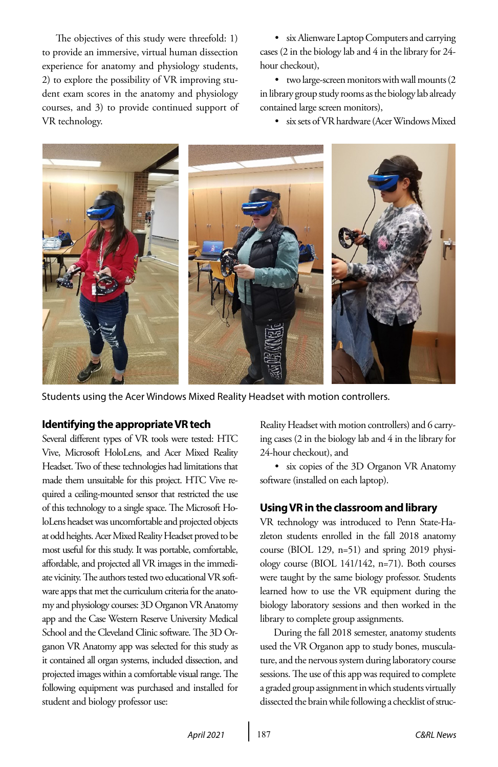The objectives of this study were threefold: 1) to provide an immersive, virtual human dissection experience for anatomy and physiology students, 2) to explore the possibility of VR improving student exam scores in the anatomy and physiology courses, and 3) to provide continued support of VR technology.

• six Alienware Laptop Computers and carrying cases (2 in the biology lab and 4 in the library for 24 hour checkout),

• two large-screen monitors with wall mounts (2 in library group study rooms as the biology lab already contained large screen monitors),

• six sets of VR hardware (Acer Windows Mixed



Students using the Acer Windows Mixed Reality Headset with motion controllers.

#### **Identifying the appropriate VR tech**

Several different types of VR tools were tested: HTC Vive, Microsoft HoloLens, and Acer Mixed Reality Headset. Two of these technologies had limitations that made them unsuitable for this project. HTC Vive required a ceiling-mounted sensor that restricted the use of this technology to a single space. The Microsoft HoloLens headset was uncomfortable and projected objects at odd heights. Acer Mixed Reality Headset proved to be most useful for this study. It was portable, comfortable, affordable, and projected all VR images in the immediate vicinity. The authors tested two educational VR software apps that met the curriculum criteria for the anatomy and physiology courses: 3D Organon VR Anatomy app and the Case Western Reserve University Medical School and the Cleveland Clinic software. The 3D Organon VR Anatomy app was selected for this study as it contained all organ systems, included dissection, and projected images within a comfortable visual range. The following equipment was purchased and installed for student and biology professor use:

Reality Headset with motion controllers) and 6 carrying cases (2 in the biology lab and 4 in the library for 24-hour checkout), and

• six copies of the 3D Organon VR Anatomy software (installed on each laptop).

### **Using VR in the classroom and library**

VR technology was introduced to Penn State-Hazleton students enrolled in the fall 2018 anatomy course (BIOL 129, n=51) and spring 2019 physiology course (BIOL 141/142, n=71). Both courses were taught by the same biology professor. Students learned how to use the VR equipment during the biology laboratory sessions and then worked in the library to complete group assignments.

During the fall 2018 semester, anatomy students used the VR Organon app to study bones, musculature, and the nervous system during laboratory course sessions. The use of this app was required to complete a graded group assignment in which students virtually dissected the brain while following a checklist of struc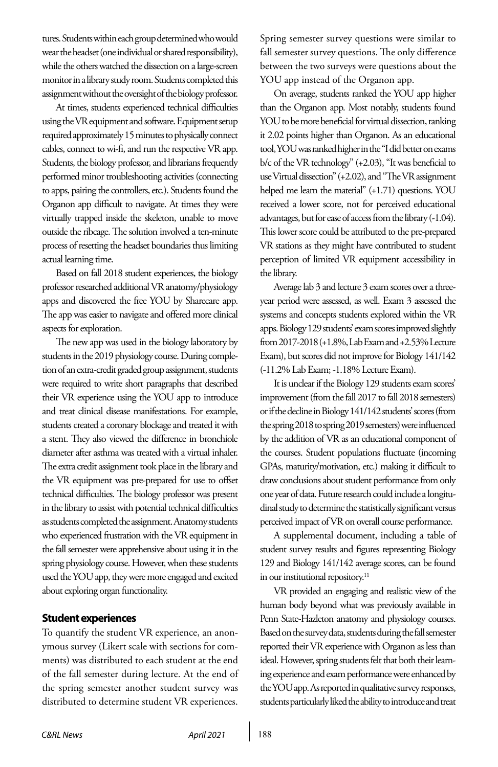tures. Students within each group determined who would wear the headset (one individual or shared responsibility), while the others watched the dissection on a large-screen monitor in a library study room. Students completed this assignment without the oversight of the biology professor.

At times, students experienced technical difficulties using the VR equipment and software. Equipment setup required approximately 15 minutes to physically connect cables, connect to wi-fi, and run the respective VR app. Students, the biology professor, and librarians frequently performed minor troubleshooting activities (connecting to apps, pairing the controllers, etc.). Students found the Organon app difficult to navigate. At times they were virtually trapped inside the skeleton, unable to move outside the ribcage. The solution involved a ten-minute process of resetting the headset boundaries thus limiting actual learning time.

Based on fall 2018 student experiences, the biology professor researched additional VR anatomy/physiology apps and discovered the free YOU by Sharecare app. The app was easier to navigate and offered more clinical aspects for exploration.

The new app was used in the biology laboratory by students in the 2019 physiology course. During completion of an extra-credit graded group assignment, students were required to write short paragraphs that described their VR experience using the YOU app to introduce and treat clinical disease manifestations. For example, students created a coronary blockage and treated it with a stent. They also viewed the difference in bronchiole diameter after asthma was treated with a virtual inhaler. The extra credit assignment took place in the library and the VR equipment was pre-prepared for use to offset technical difficulties. The biology professor was present in the library to assist with potential technical difficulties as students completed the assignment. Anatomy students who experienced frustration with the VR equipment in the fall semester were apprehensive about using it in the spring physiology course. However, when these students used the YOU app, they were more engaged and excited about exploring organ functionality.

#### **Student experiences**

To quantify the student VR experience, an anonymous survey (Likert scale with sections for comments) was distributed to each student at the end of the fall semester during lecture. At the end of the spring semester another student survey was distributed to determine student VR experiences. Spring semester survey questions were similar to fall semester survey questions. The only difference between the two surveys were questions about the YOU app instead of the Organon app.

On average, students ranked the YOU app higher than the Organon app. Most notably, students found YOU to be more beneficial for virtual dissection, ranking it 2.02 points higher than Organon. As an educational tool, YOU was ranked higher in the "I did better on exams b/c of the VR technology" (+2.03), "It was beneficial to use Virtual dissection" (+2.02), and "The VR assignment helped me learn the material" (+1.71) questions. YOU received a lower score, not for perceived educational advantages, but for ease of access from the library (-1.04). This lower score could be attributed to the pre-prepared VR stations as they might have contributed to student perception of limited VR equipment accessibility in the library.

Average lab 3 and lecture 3 exam scores over a threeyear period were assessed, as well. Exam 3 assessed the systems and concepts students explored within the VR apps. Biology 129 students' exam scores improved slightly from 2017-2018 (+1.8%, Lab Exam and +2.53% Lecture Exam), but scores did not improve for Biology 141/142 (-11.2% Lab Exam; -1.18% Lecture Exam).

It is unclear if the Biology 129 students exam scores' improvement (from the fall 2017 to fall 2018 semesters) or if the decline in Biology 141/142 students' scores (from the spring 2018 to spring 2019 semesters) were influenced by the addition of VR as an educational component of the courses. Student populations fluctuate (incoming GPAs, maturity/motivation, etc.) making it difficult to draw conclusions about student performance from only one year of data. Future research could include a longitudinal study to determine the statistically significant versus perceived impact of VR on overall course performance.

A supplemental document, including a table of student survey results and figures representing Biology 129 and Biology 141/142 average scores, can be found in our institutional repository.<sup>11</sup>

VR provided an engaging and realistic view of the human body beyond what was previously available in Penn State-Hazleton anatomy and physiology courses. Based on the survey data, students during the fall semester reported their VR experience with Organon as less than ideal. However, spring students felt that both their learning experience and exam performance were enhanced by the YOU app. As reported in qualitative survey responses, students particularly liked the ability to introduce and treat